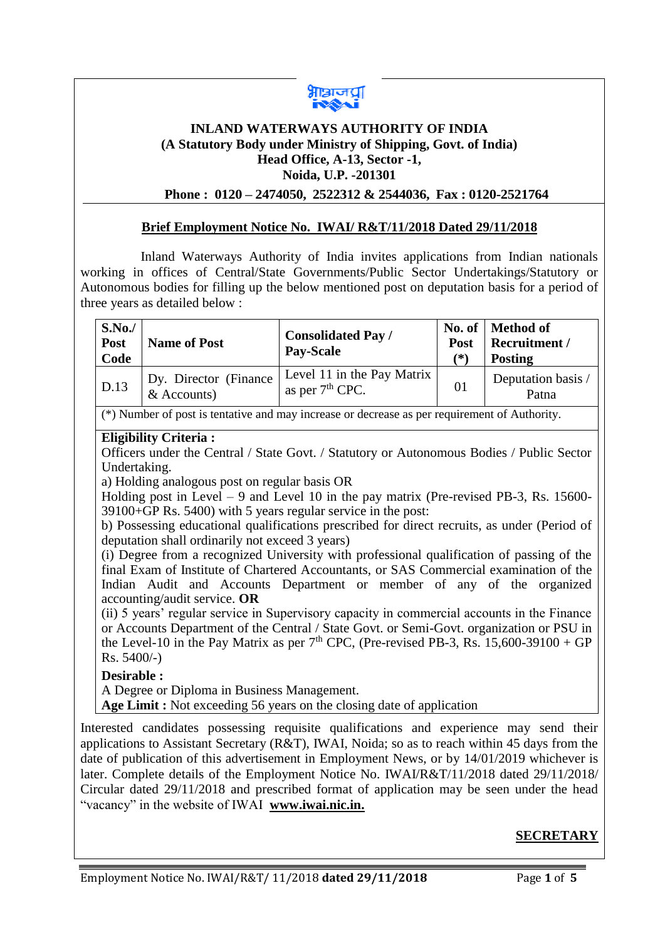

# **INLAND WATERWAYS AUTHORITY OF INDIA (A Statutory Body under Ministry of Shipping, Govt. of India) Head Office, A-13, Sector -1, Noida, U.P. -201301**

## **Phone : 0120 – 2474050, 2522312 & 2544036, Fax : 0120-2521764**

## **Brief Employment Notice No. IWAI/ R&T/11/2018 Dated 29/11/2018**

 Inland Waterways Authority of India invites applications from Indian nationals working in offices of Central/State Governments/Public Sector Undertakings/Statutory or Autonomous bodies for filling up the below mentioned post on deputation basis for a period of three years as detailed below :

| Level 11 in the Pay Matrix<br>Dy. Director (Finance)<br>Deputation basis /<br>D.13<br>01<br>as per $7th$ CPC.<br>$&$ Accounts)<br>Patna | S.No.<br>Post<br>Code | <b>Name of Post</b> | <b>Consolidated Pay /</b><br><b>Pay-Scale</b> | <b>Post</b><br>(*) | No. of   Method of<br>Recruitment /<br><b>Posting</b> |
|-----------------------------------------------------------------------------------------------------------------------------------------|-----------------------|---------------------|-----------------------------------------------|--------------------|-------------------------------------------------------|
|                                                                                                                                         |                       |                     |                                               |                    |                                                       |

## (\*) Number of post is tentative and may increase or decrease as per requirement of Authority.

## **Eligibility Criteria :**

Officers under the Central / State Govt. / Statutory or Autonomous Bodies / Public Sector Undertaking.

a) Holding analogous post on regular basis OR

Holding post in Level – 9 and Level 10 in the pay matrix (Pre-revised PB-3, Rs. 15600-39100+GP Rs. 5400) with 5 years regular service in the post:

b) Possessing educational qualifications prescribed for direct recruits, as under (Period of deputation shall ordinarily not exceed 3 years)

(i) Degree from a recognized University with professional qualification of passing of the final Exam of Institute of Chartered Accountants, or SAS Commercial examination of the Indian Audit and Accounts Department or member of any of the organized accounting/audit service. **OR**

(ii) 5 years' regular service in Supervisory capacity in commercial accounts in the Finance or Accounts Department of the Central / State Govt. or Semi-Govt. organization or PSU in the Level-10 in the Pay Matrix as per  $7<sup>th</sup>$  CPC, (Pre-revised PB-3, Rs. 15,600-39100 + GP Rs. 5400/-)

### **Desirable :**

A Degree or Diploma in Business Management.

**Age Limit :** Not exceeding 56 years on the closing date of application

Interested candidates possessing requisite qualifications and experience may send their applications to Assistant Secretary (R&T), IWAI, Noida; so as to reach within 45 days from the date of publication of this advertisement in Employment News, or by 14/01/2019 whichever is later. Complete details of the Employment Notice No. IWAI/R&T/11/2018 dated 29/11/2018/ Circular dated 29/11/2018 and prescribed format of application may be seen under the head "vacancy" in the website of IWAI **[www.iwai.nic.in.](http://www.iwai.nic.in/)**

# **SECRETARY**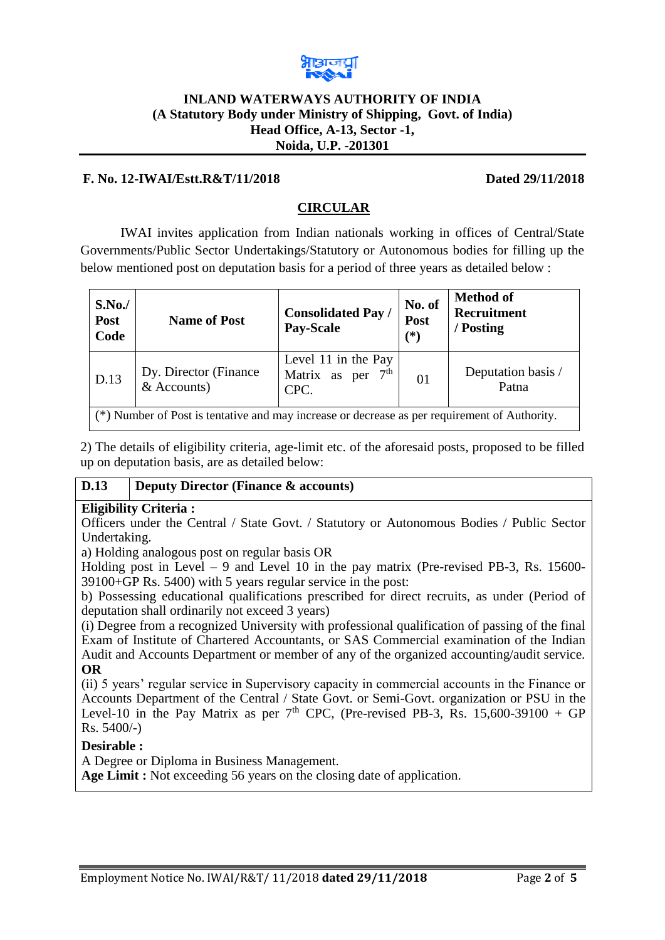

## **INLAND WATERWAYS AUTHORITY OF INDIA (A Statutory Body under Ministry of Shipping, Govt. of India) Head Office, A-13, Sector -1, Noida, U.P. -201301**

## **F. No. 12-IWAI/Estt.R&T/11/2018 Dated 29/11/2018**

# **CIRCULAR**

IWAI invites application from Indian nationals working in offices of Central/State Governments/Public Sector Undertakings/Statutory or Autonomous bodies for filling up the below mentioned post on deputation basis for a period of three years as detailed below :

| S.No.<br>Post<br>Code                                                                         | <b>Name of Post</b>                     | <b>Consolidated Pay /</b><br>Pay-Scale             | No. of<br>Post<br>$(\ast)$ | <b>Method of</b><br>Recruitment<br>/ Posting |  |  |  |
|-----------------------------------------------------------------------------------------------|-----------------------------------------|----------------------------------------------------|----------------------------|----------------------------------------------|--|--|--|
| D.13                                                                                          | Dy. Director (Finance)<br>$&$ Accounts) | Level 11 in the Pay<br>Matrix as per $7th$<br>CPC. | 01                         | Deputation basis /<br>Patna                  |  |  |  |
| (*) Number of Post is tentative and may increase or decrease as per requirement of Authority. |                                         |                                                    |                            |                                              |  |  |  |

2) The details of eligibility criteria, age-limit etc. of the aforesaid posts, proposed to be filled up on deputation basis, are as detailed below:

# **D.13 Deputy Director (Finance & accounts)**

### **Eligibility Criteria :**

Officers under the Central / State Govt. / Statutory or Autonomous Bodies / Public Sector Undertaking.

a) Holding analogous post on regular basis OR

Holding post in Level – 9 and Level 10 in the pay matrix (Pre-revised PB-3, Rs.  $15600$ -39100+GP Rs. 5400) with 5 years regular service in the post:

b) Possessing educational qualifications prescribed for direct recruits, as under (Period of deputation shall ordinarily not exceed 3 years)

(i) Degree from a recognized University with professional qualification of passing of the final Exam of Institute of Chartered Accountants, or SAS Commercial examination of the Indian Audit and Accounts Department or member of any of the organized accounting/audit service. **OR**

(ii) 5 years' regular service in Supervisory capacity in commercial accounts in the Finance or Accounts Department of the Central / State Govt. or Semi-Govt. organization or PSU in the Level-10 in the Pay Matrix as per  $7<sup>th</sup>$  CPC, (Pre-revised PB-3, Rs. 15,600-39100 + GP Rs. 5400/-)

### **Desirable :**

A Degree or Diploma in Business Management.

**Age Limit :** Not exceeding 56 years on the closing date of application.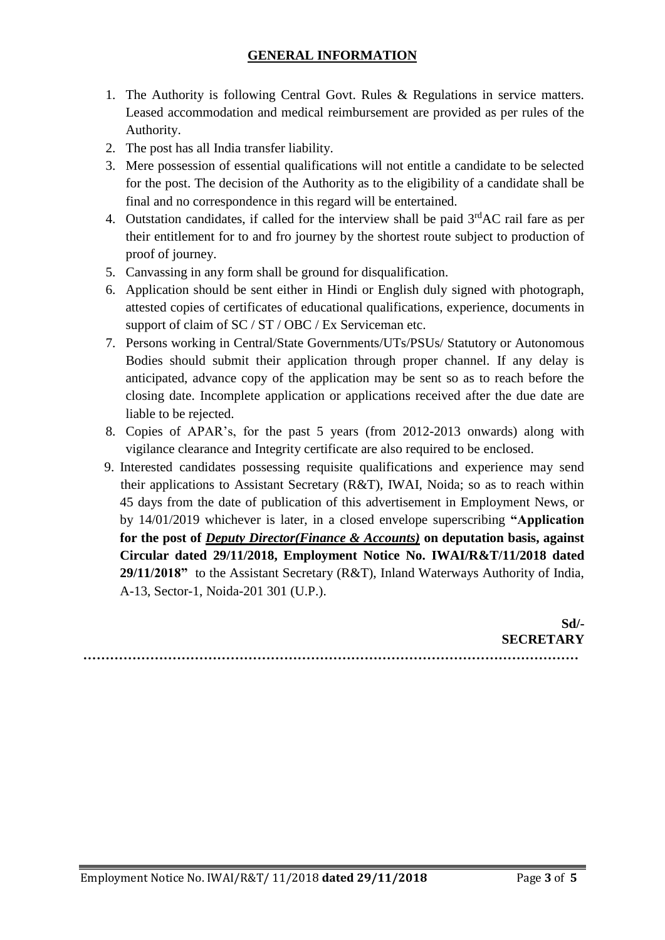- 1. The Authority is following Central Govt. Rules & Regulations in service matters. Leased accommodation and medical reimbursement are provided as per rules of the Authority.
- 2. The post has all India transfer liability.
- 3. Mere possession of essential qualifications will not entitle a candidate to be selected for the post. The decision of the Authority as to the eligibility of a candidate shall be final and no correspondence in this regard will be entertained.
- 4. Outstation candidates, if called for the interview shall be paid  $3<sup>rd</sup>AC$  rail fare as per their entitlement for to and fro journey by the shortest route subject to production of proof of journey.
- 5. Canvassing in any form shall be ground for disqualification.
- 6. Application should be sent either in Hindi or English duly signed with photograph, attested copies of certificates of educational qualifications, experience, documents in support of claim of SC / ST / OBC / Ex Serviceman etc.
- 7. Persons working in Central/State Governments/UTs/PSUs/ Statutory or Autonomous Bodies should submit their application through proper channel. If any delay is anticipated, advance copy of the application may be sent so as to reach before the closing date. Incomplete application or applications received after the due date are liable to be rejected.
- 8. Copies of APAR's, for the past 5 years (from 2012-2013 onwards) along with vigilance clearance and Integrity certificate are also required to be enclosed.
- 9. Interested candidates possessing requisite qualifications and experience may send their applications to Assistant Secretary (R&T), IWAI, Noida; so as to reach within 45 days from the date of publication of this advertisement in Employment News, or by 14/01/2019 whichever is later, in a closed envelope superscribing **"Application for the post of** *Deputy Director(Finance & Accounts)* **on deputation basis, against Circular dated 29/11/2018, Employment Notice No. IWAI/R&T/11/2018 dated 29/11/2018"** to the Assistant Secretary (R&T), Inland Waterways Authority of India, A-13, Sector-1, Noida-201 301 (U.P.).

**Sd/- SECRETARY …………………………………………………………………………………………………**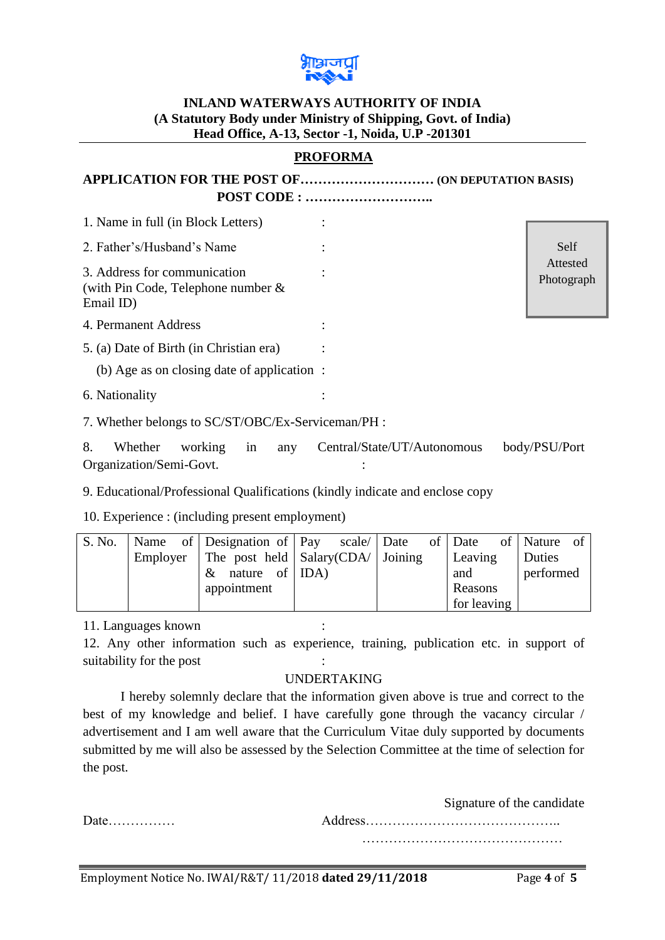

# **INLAND WATERWAYS AUTHORITY OF INDIA (A Statutory Body under Ministry of Shipping, Govt. of India) Head Office, A-13, Sector -1, Noida, U.P -201301**

# **PROFORMA**

| 1. Name in full (in Block Letters)                                                 |                        |  |
|------------------------------------------------------------------------------------|------------------------|--|
|                                                                                    |                        |  |
| 2. Father's/Husband's Name                                                         | Self                   |  |
| 3. Address for communication<br>(with Pin Code, Telephone number $\&$<br>Email ID) | Attested<br>Photograph |  |
| 4. Permanent Address                                                               |                        |  |
| 5. (a) Date of Birth (in Christian era)                                            |                        |  |
| (b) Age as on closing date of application :                                        |                        |  |
| 6. Nationality                                                                     |                        |  |
| 7. Whether belongs to SC/ST/OBC/Ex-Serviceman/PH :                                 |                        |  |

8. Whether working in any Central/State/UT/Autonomous body/PSU/Port Organization/Semi-Govt. :

9. Educational/Professional Qualifications (kindly indicate and enclose copy

10. Experience : (including present employment)

| S. No. |  |  | Name of Designation of Pay scale Date of Date                |  |  |             | of Nature of |  |
|--------|--|--|--------------------------------------------------------------|--|--|-------------|--------------|--|
|        |  |  | Employer   The post held $\vert$ Salary(CDA/ $\vert$ Joining |  |  | Leaving     | Duties       |  |
|        |  |  | $\&$ nature of [IDA]                                         |  |  | and         | performed    |  |
|        |  |  | appointment                                                  |  |  | Reasons     |              |  |
|        |  |  |                                                              |  |  | for leaving |              |  |

11. Languages known :

12. Any other information such as experience, training, publication etc. in support of suitability for the post

# UNDERTAKING

I hereby solemnly declare that the information given above is true and correct to the best of my knowledge and belief. I have carefully gone through the vacancy circular / advertisement and I am well aware that the Curriculum Vitae duly supported by documents submitted by me will also be assessed by the Selection Committee at the time of selection for the post.

Signature of the candidate Date…………… Address…………………………………….. ………………………………………